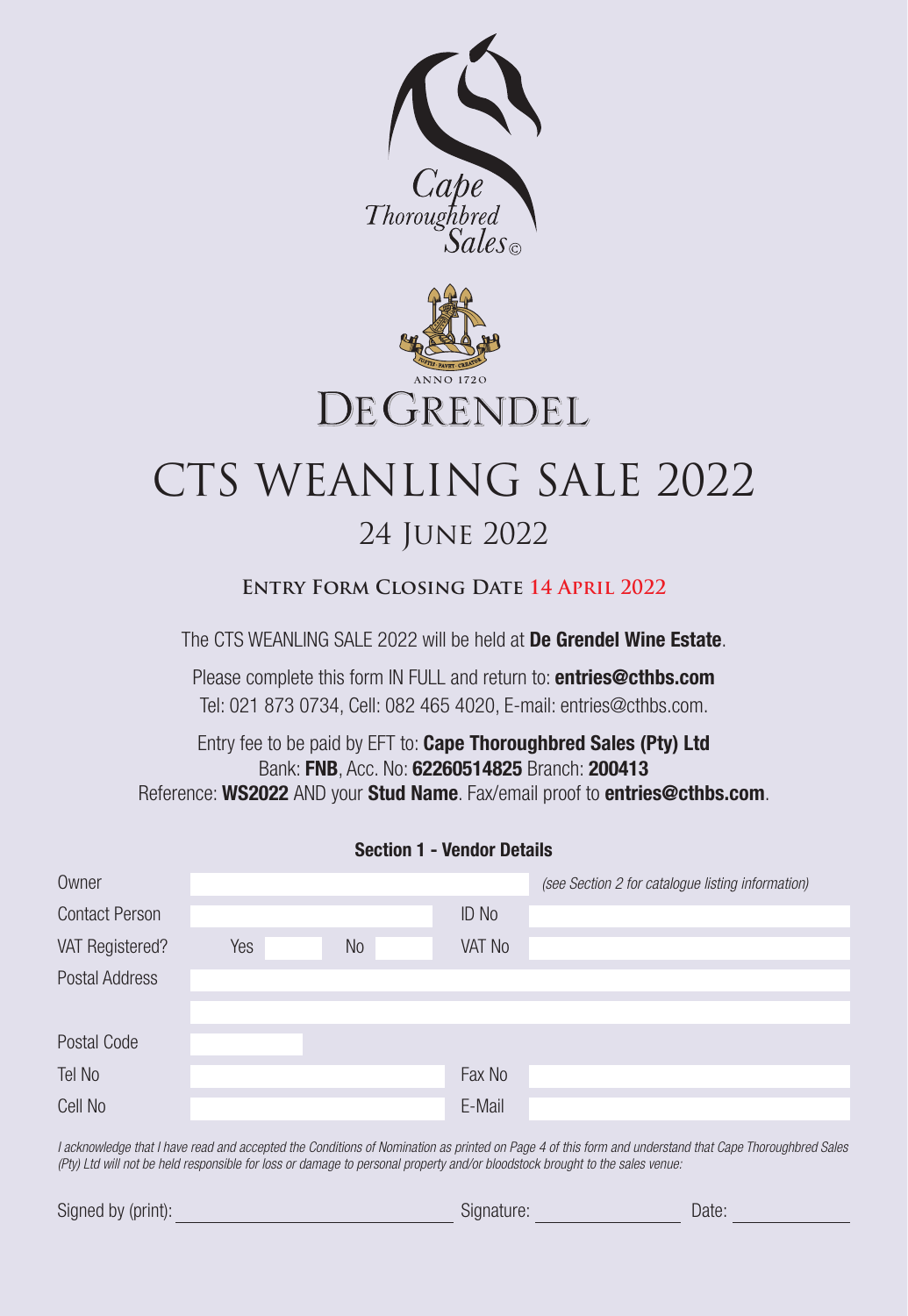



# CTS WEANLING SALE 2022 24 June 2022

# **Entry Form Closing Date 14 April 2022**

The CTS WEANLING SALE 2022 will be held at De Grendel Wine Estate.

Please complete this form IN FULL and return to: **entries@cthbs.com** Tel: 021 873 0734, Cell: 082 465 4020, E-mail: entries@cthbs.com.

Entry fee to be paid by EFT to: Cape Thoroughbred Sales (Pty) Ltd Bank: FNB, Acc. No: 62260514825 Branch: 200413 Reference: WS2022 AND your Stud Name. Fax/email proof to entries@cthbs.com.

| Owner                 |     |           |              | (see Section 2 for catalogue listing information) |
|-----------------------|-----|-----------|--------------|---------------------------------------------------|
| <b>Contact Person</b> |     |           | <b>ID No</b> |                                                   |
| VAT Registered?       | Yes | <b>No</b> | VAT No       |                                                   |
| Postal Address        |     |           |              |                                                   |
|                       |     |           |              |                                                   |
| Postal Code           |     |           |              |                                                   |
| Tel No                |     |           | Fax No       |                                                   |
| Cell No               |     |           | E-Mail       |                                                   |

*I acknowledge that I have read and accepted the Conditions of Nomination as printed on Page 4 of this form and understand that Cape Thoroughbred Sales (Pty) Ltd will not be held responsible for loss or damage to personal property and/or bloodstock brought to the sales venue:*

| Signed by (print): | signature: | Date |
|--------------------|------------|------|
|--------------------|------------|------|

# Section 1 - Vendor Details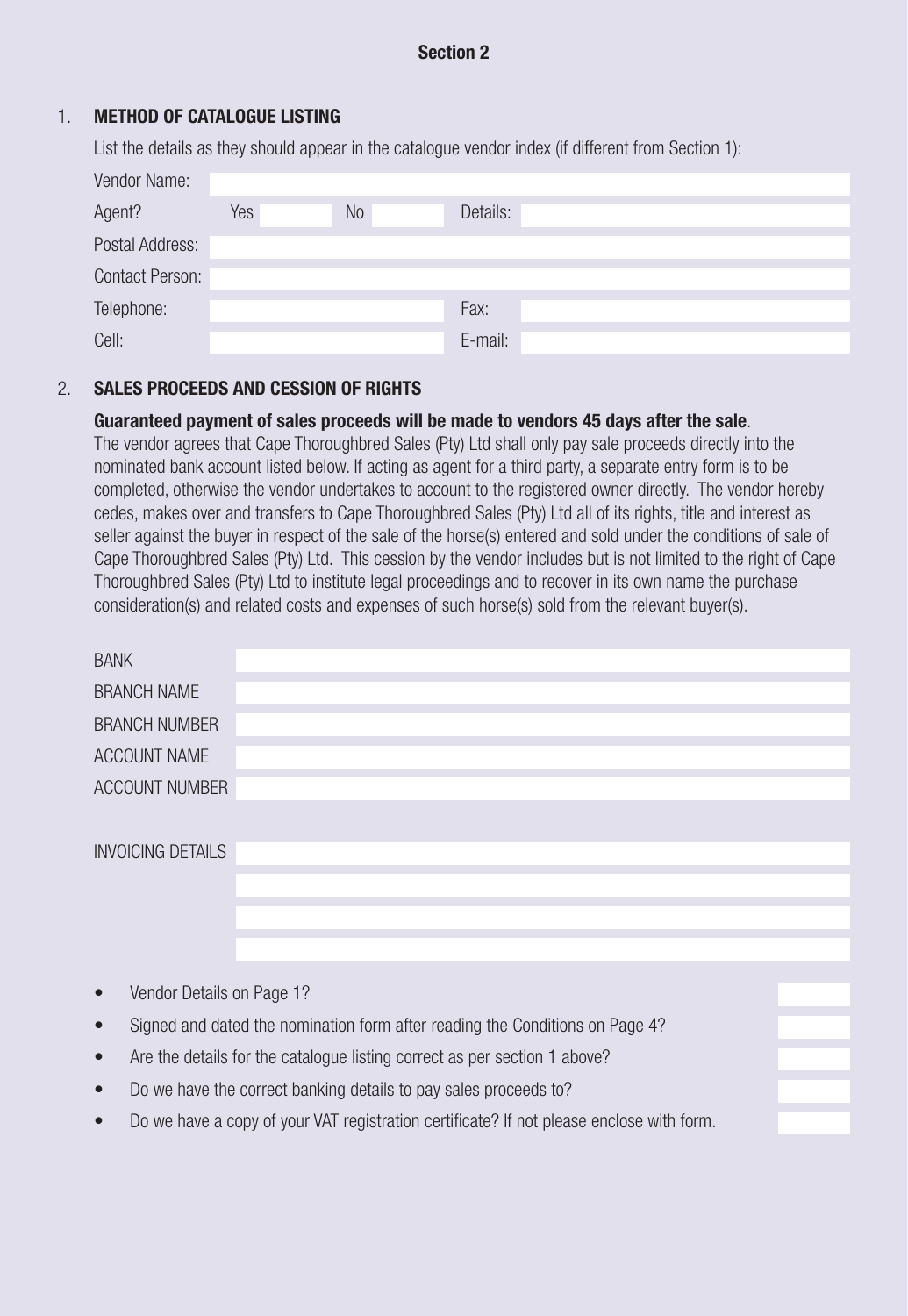# Section 2

# 1. METHOD OF CATALOGUE LISTING

List the details as they should appear in the catalogue vendor index (if different from Section 1):

| Vendor Name:           |     |                |          |  |
|------------------------|-----|----------------|----------|--|
| Agent?                 | Yes | N <sub>o</sub> | Details: |  |
| Postal Address:        |     |                |          |  |
| <b>Contact Person:</b> |     |                |          |  |
| Telephone:             |     |                | Fax:     |  |
| Cell:                  |     |                | E-mail:  |  |

## 2. SALES PROCEEDS AND CESSION OF RIGHTS

## Guaranteed payment of sales proceeds will be made to vendors 45 days after the sale.

The vendor agrees that Cape Thoroughbred Sales (Pty) Ltd shall only pay sale proceeds directly into the nominated bank account listed below. If acting as agent for a third party, a separate entry form is to be completed, otherwise the vendor undertakes to account to the registered owner directly. The vendor hereby cedes, makes over and transfers to Cape Thoroughbred Sales (Pty) Ltd all of its rights, title and interest as seller against the buyer in respect of the sale of the horse(s) entered and sold under the conditions of sale of Cape Thoroughbred Sales (Pty) Ltd. This cession by the vendor includes but is not limited to the right of Cape Thoroughbred Sales (Pty) Ltd to institute legal proceedings and to recover in its own name the purchase consideration(s) and related costs and expenses of such horse(s) sold from the relevant buyer(s).

| <b>BANK</b>              |  |  |
|--------------------------|--|--|
|                          |  |  |
| <b>BRANCH NAME</b>       |  |  |
| <b>BRANCH NUMBER</b>     |  |  |
|                          |  |  |
| ACCOUNT NAME             |  |  |
|                          |  |  |
| ACCOUNT NUMBER           |  |  |
|                          |  |  |
|                          |  |  |
| <b>INVOICING DETAILS</b> |  |  |
|                          |  |  |
|                          |  |  |
|                          |  |  |
|                          |  |  |
|                          |  |  |
|                          |  |  |
|                          |  |  |

- Vendor Details on Page 1?
- Signed and dated the nomination form after reading the Conditions on Page 4?
- Are the details for the catalogue listing correct as per section 1 above?
- Do we have the correct banking details to pay sales proceeds to?
- Do we have a copy of your VAT registration certificate? If not please enclose with form.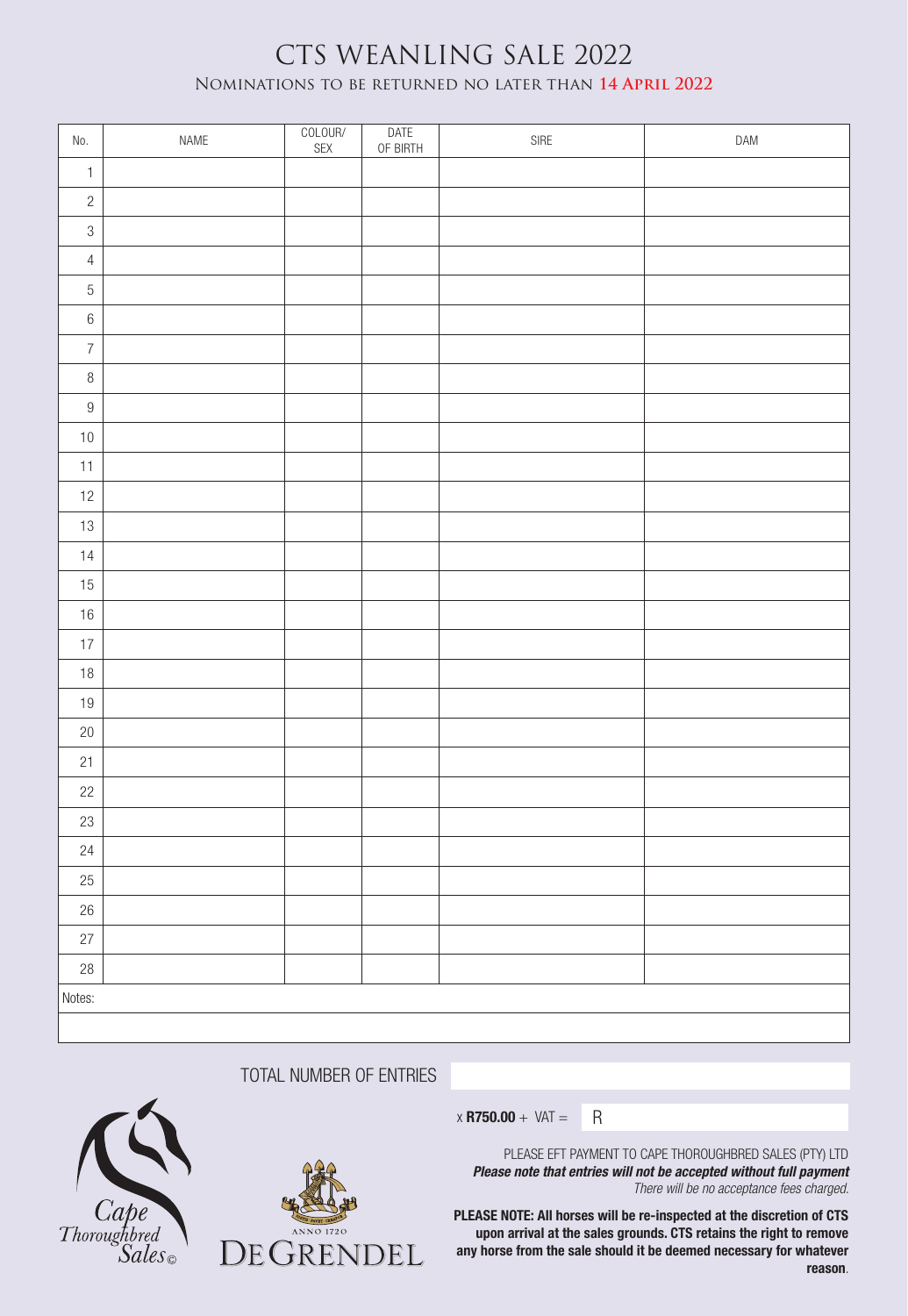# CTS WEANLING SALE 2022 Nominations to be returned no later than **14 April 2022**

| No.              | NAME | COLOUR/<br>SEX | DATE<br>OF BIRTH | ${\sf SIRE}$ | DAM |
|------------------|------|----------------|------------------|--------------|-----|
| $\mathbbm{1}$    |      |                |                  |              |     |
| $\overline{c}$   |      |                |                  |              |     |
| $\,3$            |      |                |                  |              |     |
| $\overline{4}$   |      |                |                  |              |     |
| $\overline{5}$   |      |                |                  |              |     |
| $\,$ $\,$ $\,$   |      |                |                  |              |     |
| $\overline{7}$   |      |                |                  |              |     |
| $\, 8$           |      |                |                  |              |     |
| $\boldsymbol{9}$ |      |                |                  |              |     |
| $10\,$           |      |                |                  |              |     |
| $11$             |      |                |                  |              |     |
| $12$             |      |                |                  |              |     |
| 13               |      |                |                  |              |     |
| $14$             |      |                |                  |              |     |
| 15               |      |                |                  |              |     |
| $16\,$           |      |                |                  |              |     |
| $17\,$           |      |                |                  |              |     |
| $18\,$           |      |                |                  |              |     |
| $19$             |      |                |                  |              |     |
| $20\,$           |      |                |                  |              |     |
| 21               |      |                |                  |              |     |
| $22\,$           |      |                |                  |              |     |
| 23               |      |                |                  |              |     |
| 24               |      |                |                  |              |     |
| $25\,$           |      |                |                  |              |     |
| $26\,$           |      |                |                  |              |     |
| 27               |      |                |                  |              |     |
| $28\,$           |      |                |                  |              |     |
| Notes:           |      |                |                  |              |     |
|                  |      |                |                  |              |     |

TOTAL NUMBER OF ENTRIES





 $x$  R750.00 + VAT = R

PLEASE EFT PAYMENT TO CAPE THOROUGHBRED SALES (PTY) LTD *Please note that entries will not be accepted without full payment There will be no acceptance fees charged.* 

PLEASE NOTE: All horses will be re-inspected at the discretion of CTS upon arrival at the sales grounds. CTS retains the right to remove any horse from the sale should it be deemed necessary for whatever reason.